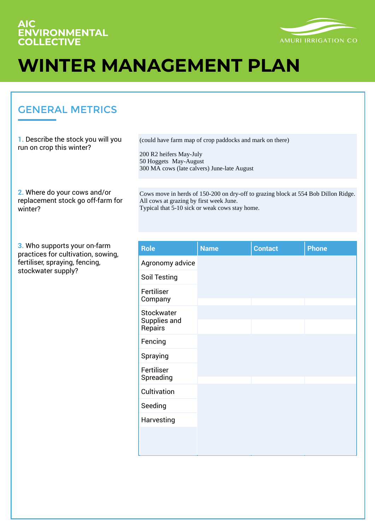#### **AIC ENVIRONMENTAL COLLECTIVE**



# **WINTER MANAGEMENT PLAN**

#### GENERAL METRICS

**1.** Describe the stock you will you run on crop this winter?

(could have farm map of crop paddocks and mark on there)

200 R2 heifers May-July 50 Hoggets May-August 300 MA cows (late calvers) June-late August

**2.** Where do your cows and/or replacement stock go off-farm for winter?

Cows move in herds of 150-200 on dry-off to grazing block at 554 Bob Dillon Ridge. All cows at grazing by first week June. Typical that 5-10 sick or weak cows stay home.

**3.** Who supports your on-farm practices for cultivation, sowing, fertiliser, spraying, fencing, stockwater supply?

| <b>Role</b>                           | <b>Name</b> | <b>Contact</b> | <b>Phone</b> |
|---------------------------------------|-------------|----------------|--------------|
| Agronomy advice                       |             |                |              |
| <b>Soil Testing</b>                   |             |                |              |
| Fertiliser<br>Company                 |             |                |              |
| Stockwater<br>Supplies and<br>Repairs |             |                |              |
| Fencing                               |             |                |              |
| Spraying                              |             |                |              |
| Fertiliser<br>Spreading               |             |                |              |
| Cultivation                           |             |                |              |
| Seeding                               |             |                |              |
| Harvesting                            |             |                |              |
|                                       |             |                |              |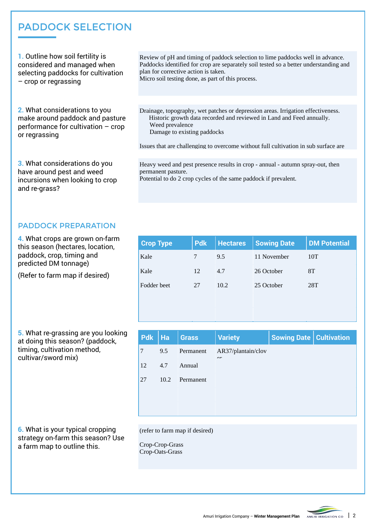#### PADDOCK SELECTION

**1.** Outline how soil fertility is considered and managed when selecting paddocks for cultivation – crop or regrassing

**2.** What considerations to you make around paddock and pasture performance for cultivation – crop or regrassing

**3.** What considerations do you have around pest and weed incursions when looking to crop and re-grass?

Review of pH and timing of paddock selection to lime paddocks well in advance. Paddocks identified for crop are separately soil tested so a better understanding and plan for corrective action is taken.

Micro soil testing done, as part of this process.

Drainage, topography, wet patches or depression areas. Irrigation effectiveness. Historic growth data recorded and reviewed in Land and Feed annually. Weed prevalence Damage to existing paddocks

Issues that are challenging to overcome without full cultivation in sub surface are

Heavy weed and pest presence results in crop - annual - autumn spray-out, then permanent pasture.

Potential to do 2 crop cycles of the same paddock if prevalent.

#### PADDOCK PREPARATION

**4.** What crops are grown on-farm this season (hectares, location, paddock, crop, timing and predicted DM tonnage)

(Refer to farm map if desired)

**5.** What re-grassing are you looking at doing this season? (paddock, timing, cultivation method, cultivar/sword mix)

| <b>Crop Type</b> | <b>Pdk</b> | <b>Hectares</b> | <b>Sowing Date</b> | <b>DM Potential</b> |
|------------------|------------|-----------------|--------------------|---------------------|
| Kale             |            | 9.5             | 11 November        | 10T                 |
| Kale             | 12         | 4.7             | 26 October         | 8T                  |
| Fodder beet      | 27         | 10.2            | 25 October         | 28T                 |
|                  |            |                 |                    |                     |
|                  |            |                 |                    |                     |

| $Pdk$   Ha     |      | Grass     | <b>Variety</b>               | <b>Sowing Date   Cultivation</b> |  |
|----------------|------|-----------|------------------------------|----------------------------------|--|
| $\overline{7}$ | 9.5  | Permanent | AR37/plantain/clov<br>$\sim$ |                                  |  |
| <sup>12</sup>  | 4.7  | Annual    |                              |                                  |  |
| 27             | 10.2 | Permanent |                              |                                  |  |
|                |      |           |                              |                                  |  |
|                |      |           |                              |                                  |  |

**6.** What is your typical cropping strategy on-farm this season? Use a farm map to outline this.

(refer to farm map if desired)

Crop-Crop-Grass Crop-Oats-Grass

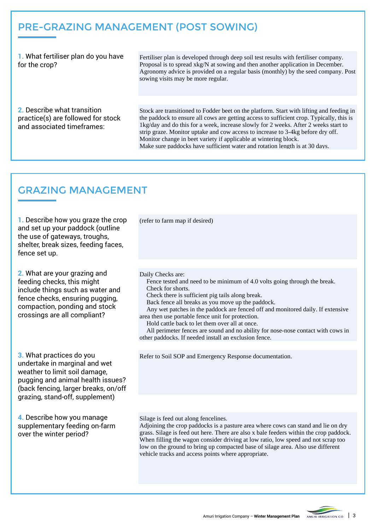### Pre-Grazing Management (post sowing)

**1.** What fertiliser plan do you have for the crop?

Fertiliser plan is developed through deep soil test results with fertiliser company. Proposal is to spread xkg/N at sowing and then another application in December. Agronomy advice is provided on a regular basis (monthly) by the seed company. Post sowing visits may be more regular.

**2.** Describe what transition practice(s) are followed for stock and associated timeframes:

Stock are transitioned to Fodder beet on the platform. Start with lifting and feeding in the paddock to ensure all cows are getting access to sufficient crop. Typically, this is 1kg/day and do this for a week, increase slowly for 2 weeks. After 2 weeks start to strip graze. Monitor uptake and cow access to increase to 3-4kg before dry off. Monitor change in beet variety if applicable at wintering block. Make sure paddocks have sufficient water and rotation length is at 30 days.

#### Grazing Management

**1.** Describe how you graze the crop and set up your paddock (outline the use of gateways, troughs, shelter, break sizes, feeding faces, fence set up.

**2.** What are your grazing and feeding checks, this might include things such as water and fence checks, ensuring pugging, compaction, ponding and stock crossings are all compliant?

**3.** What practices do you undertake in marginal and wet weather to limit soil damage, pugging and animal health issues? (back fencing, larger breaks, on/off grazing, stand-off, supplement)

**4.** Describe how you manage supplementary feeding on-farm over the winter period?

(refer to farm map if desired)

Daily Checks are:

 Fence tested and need to be minimum of 4.0 volts going through the break. Check for shorts.

Check there is sufficient pig tails along break.

Back fence all breaks as you move up the paddock.

 Any wet patches in the paddock are fenced off and monitored daily. If extensive area then use portable fence unit for protection.

Hold cattle back to let them over all at once.

 All perimeter fences are sound and no ability for nose-nose contact with cows in other paddocks. If needed install an exclusion fence.

 $P(t)$  or  $P(t)$  the cut-out tyre over tyre over  $f(t)$  the cut-out tyre over  $f(t)$ Refer to Soil SOP and Emergency Response documentation.

Silage is feed out along fencelines.

Adjoining the crop paddocks is a pasture area where cows can stand and lie on dry grass. Silage is feed out here. There are also x bale feeders within the crop paddock. When filling the wagon consider driving at low ratio, low speed and not scrap too low on the ground to bring up compacted base of silage area. Also use different vehicle tracks and access points where appropriate.

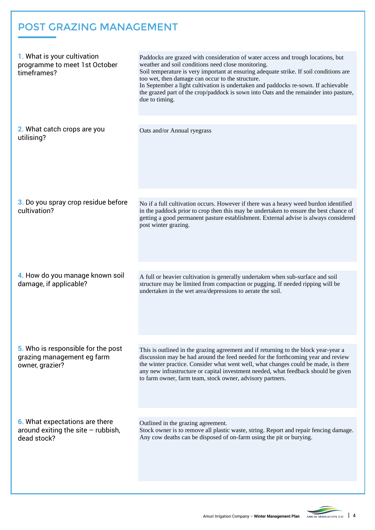## Post Grazing Management

| 1. What is your cultivation<br>programme to meet 1st October<br>timeframes? | Paddocks are grazed with consideration of water access and trough locations, but<br>weather and soil conditions need close monitoring.<br>Soil temperature is very important at ensuring adequate strike. If soil conditions are<br>too wet, then damage can occur to the structure.<br>In September a light cultivation is undertaken and paddocks re-sown. If achievable<br>the grazed part of the crop/paddock is sown into Oats and the remainder into pasture,<br>due to timing. |
|-----------------------------------------------------------------------------|---------------------------------------------------------------------------------------------------------------------------------------------------------------------------------------------------------------------------------------------------------------------------------------------------------------------------------------------------------------------------------------------------------------------------------------------------------------------------------------|
| 2. What catch crops are you<br>utilising?                                   | Oats and/or Annual ryegrass                                                                                                                                                                                                                                                                                                                                                                                                                                                           |
| 3. Do you spray crop residue before<br>cultivation?                         | No if a full cultivation occurs. However if there was a heavy weed burdon identified<br>in the paddock prior to crop then this may be undertaken to ensure the best chance of<br>getting a good permanent pasture establishment. External advise is always considered<br>post winter grazing.                                                                                                                                                                                         |
| 4. How do you manage known soil                                             | A full or heavier cultivation is generally undertaken when sub-surface and soil                                                                                                                                                                                                                                                                                                                                                                                                       |
| damage, if applicable?                                                      | structure may be limited from compaction or pugging. If needed ripping will be<br>undertaken in the wet area/depressions to aerate the soil.                                                                                                                                                                                                                                                                                                                                          |
| 5. Who is responsible for the post                                          | This is outlined in the grazing agreement and if returning to the block year-year a                                                                                                                                                                                                                                                                                                                                                                                                   |
| grazing management eg farm<br>owner, grazier?                               | discussion may be had around the feed needed for the forthcoming year and review<br>the winter practice. Consider what went well, what changes could be made, is there<br>any new infrastructure or capital investment needed, what feedback should be given<br>to farm owner, farm team, stock owner, advisory partners.                                                                                                                                                             |
| <b>6.</b> What expectations are there                                       | Outlined in the grazing agreement.                                                                                                                                                                                                                                                                                                                                                                                                                                                    |
| around exiting the site $-$ rubbish,<br>dead stock?                         | Stock owner is to remove all plastic waste, string. Report and repair fencing damage.<br>Any cow deaths can be disposed of on-farm using the pit or burying.                                                                                                                                                                                                                                                                                                                          |